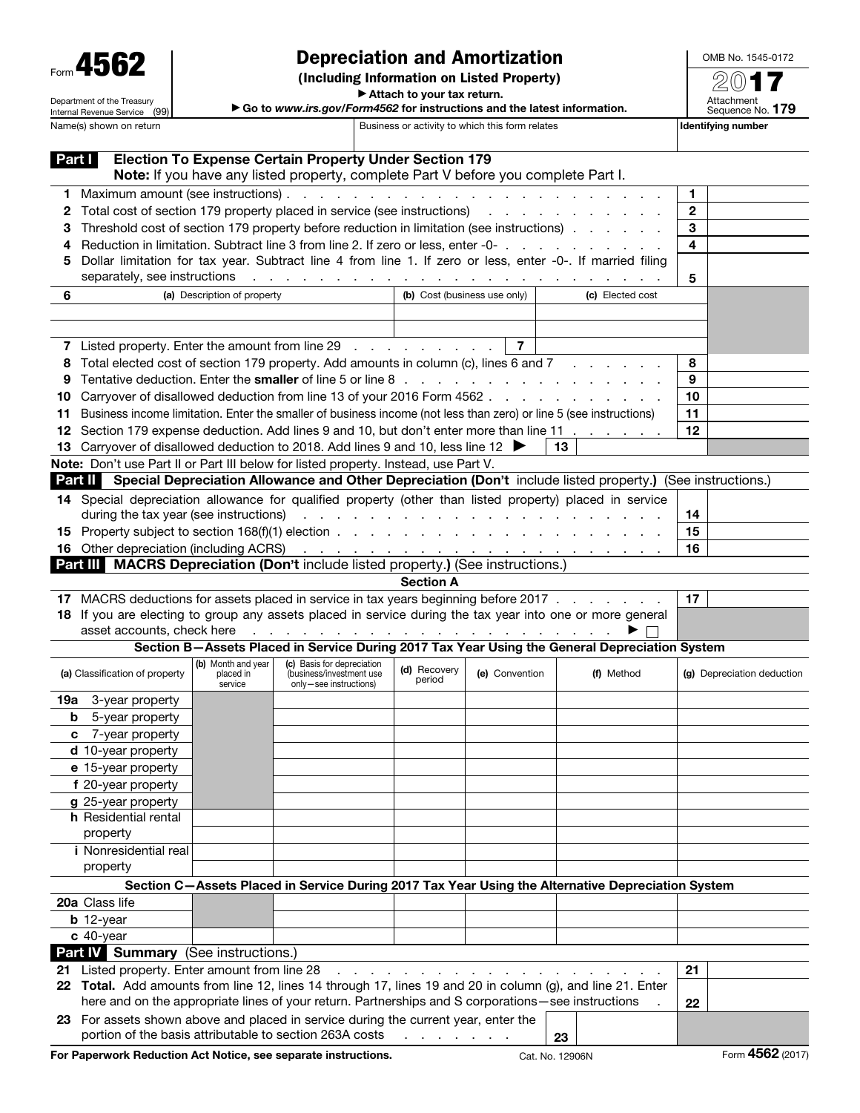Department of the Treasury Internal Revenue Service (99)

## Depreciation and Amortization

(Including Information on Listed Property)

OMB No. 1545-0172 2017

▶ Attach to your tax return.

| Go to www.irs.gov/Form4562 for instructions and the latest information. |  |
|-------------------------------------------------------------------------|--|

| Attachment<br>Sequence No. 179 |  |
|--------------------------------|--|
| dentifying number              |  |

| Name(s) shown on return        |                                                                                                                                                                                                                                                                                                                                                                           |                                            |                                                                                                                                                     | Business or activity to which this form relates | Identifying number           |                                                                                                                    |                            |  |  |  |  |
|--------------------------------|---------------------------------------------------------------------------------------------------------------------------------------------------------------------------------------------------------------------------------------------------------------------------------------------------------------------------------------------------------------------------|--------------------------------------------|-----------------------------------------------------------------------------------------------------------------------------------------------------|-------------------------------------------------|------------------------------|--------------------------------------------------------------------------------------------------------------------|----------------------------|--|--|--|--|
| Part I                         |                                                                                                                                                                                                                                                                                                                                                                           |                                            | <b>Election To Expense Certain Property Under Section 179</b><br>Note: If you have any listed property, complete Part V before you complete Part I. |                                                 |                              |                                                                                                                    |                            |  |  |  |  |
|                                |                                                                                                                                                                                                                                                                                                                                                                           |                                            |                                                                                                                                                     |                                                 |                              |                                                                                                                    | $\mathbf{1}$               |  |  |  |  |
| 2                              |                                                                                                                                                                                                                                                                                                                                                                           |                                            | Total cost of section 179 property placed in service (see instructions) results and section 179 property placed in service (see instructions)       |                                                 |                              |                                                                                                                    |                            |  |  |  |  |
|                                |                                                                                                                                                                                                                                                                                                                                                                           |                                            |                                                                                                                                                     |                                                 |                              | Threshold cost of section 179 property before reduction in limitation (see instructions)                           | 3                          |  |  |  |  |
|                                |                                                                                                                                                                                                                                                                                                                                                                           |                                            |                                                                                                                                                     |                                                 |                              | Reduction in limitation. Subtract line 3 from line 2. If zero or less, enter -0-                                   | 4                          |  |  |  |  |
| 5                              |                                                                                                                                                                                                                                                                                                                                                                           |                                            |                                                                                                                                                     |                                                 |                              | Dollar limitation for tax year. Subtract line 4 from line 1. If zero or less, enter -0-. If married filing         |                            |  |  |  |  |
|                                | separately, see instructions                                                                                                                                                                                                                                                                                                                                              |                                            |                                                                                                                                                     |                                                 |                              | والمتواط والمتواط والمتواط والمتواط والمتواط والمتواط والمتواط والمتواطئ والمتواطئ                                 | 5                          |  |  |  |  |
| 6                              |                                                                                                                                                                                                                                                                                                                                                                           | (a) Description of property                |                                                                                                                                                     |                                                 | (b) Cost (business use only) | (c) Elected cost                                                                                                   |                            |  |  |  |  |
|                                |                                                                                                                                                                                                                                                                                                                                                                           |                                            |                                                                                                                                                     |                                                 |                              |                                                                                                                    |                            |  |  |  |  |
|                                |                                                                                                                                                                                                                                                                                                                                                                           |                                            |                                                                                                                                                     |                                                 |                              |                                                                                                                    |                            |  |  |  |  |
|                                | 7 Listed property. Enter the amount from line 29                                                                                                                                                                                                                                                                                                                          |                                            |                                                                                                                                                     |                                                 | $\overline{7}$               |                                                                                                                    |                            |  |  |  |  |
| 8                              |                                                                                                                                                                                                                                                                                                                                                                           |                                            |                                                                                                                                                     |                                                 |                              |                                                                                                                    | 8                          |  |  |  |  |
|                                | Total elected cost of section 179 property. Add amounts in column (c), lines 6 and 7<br>9                                                                                                                                                                                                                                                                                 |                                            |                                                                                                                                                     |                                                 |                              |                                                                                                                    |                            |  |  |  |  |
| 10                             |                                                                                                                                                                                                                                                                                                                                                                           |                                            |                                                                                                                                                     |                                                 |                              | Carryover of disallowed deduction from line 13 of your 2016 Form 4562                                              | 10                         |  |  |  |  |
| 11                             |                                                                                                                                                                                                                                                                                                                                                                           |                                            |                                                                                                                                                     |                                                 |                              | Business income limitation. Enter the smaller of business income (not less than zero) or line 5 (see instructions) | 11                         |  |  |  |  |
| 12                             |                                                                                                                                                                                                                                                                                                                                                                           |                                            |                                                                                                                                                     |                                                 |                              | Section 179 expense deduction. Add lines 9 and 10, but don't enter more than line 11                               | 12                         |  |  |  |  |
|                                | 13 Carryover of disallowed deduction to 2018. Add lines 9 and 10, less line 12                                                                                                                                                                                                                                                                                            |                                            |                                                                                                                                                     |                                                 |                              | 13                                                                                                                 |                            |  |  |  |  |
|                                | Note: Don't use Part II or Part III below for listed property. Instead, use Part V.                                                                                                                                                                                                                                                                                       |                                            |                                                                                                                                                     |                                                 |                              |                                                                                                                    |                            |  |  |  |  |
|                                |                                                                                                                                                                                                                                                                                                                                                                           |                                            |                                                                                                                                                     |                                                 |                              | Part II Special Depreciation Allowance and Other Depreciation (Don't include listed property.) (See instructions.) |                            |  |  |  |  |
|                                |                                                                                                                                                                                                                                                                                                                                                                           |                                            |                                                                                                                                                     |                                                 |                              |                                                                                                                    |                            |  |  |  |  |
|                                |                                                                                                                                                                                                                                                                                                                                                                           |                                            |                                                                                                                                                     |                                                 |                              | 14 Special depreciation allowance for qualified property (other than listed property) placed in service            |                            |  |  |  |  |
|                                | during the tax year (see instructions)                                                                                                                                                                                                                                                                                                                                    |                                            |                                                                                                                                                     |                                                 |                              |                                                                                                                    | 14                         |  |  |  |  |
|                                |                                                                                                                                                                                                                                                                                                                                                                           |                                            |                                                                                                                                                     |                                                 |                              |                                                                                                                    | 15                         |  |  |  |  |
|                                | <b>16</b> Other depreciation (including ACRS)                                                                                                                                                                                                                                                                                                                             |                                            |                                                                                                                                                     |                                                 |                              | والمتعاون والمتعاون والمتعاون والمتعاونة والمتعاونة والمتعاونة والمتعاونة                                          | 16                         |  |  |  |  |
|                                | Part III MACRS Depreciation (Don't include listed property.) (See instructions.)                                                                                                                                                                                                                                                                                          |                                            |                                                                                                                                                     |                                                 |                              |                                                                                                                    |                            |  |  |  |  |
|                                |                                                                                                                                                                                                                                                                                                                                                                           |                                            |                                                                                                                                                     | <b>Section A</b>                                |                              |                                                                                                                    |                            |  |  |  |  |
|                                |                                                                                                                                                                                                                                                                                                                                                                           |                                            |                                                                                                                                                     |                                                 |                              | 17 MACRS deductions for assets placed in service in tax years beginning before 2017                                | 17                         |  |  |  |  |
|                                | 18 If you are electing to group any assets placed in service during the tax year into one or more general<br>asset accounts, check here<br>the contract of the contract of the contract of the contract of the contract of the contract of the contract of the contract of the contract of the contract of the contract of the contract of the contract of the contract o |                                            |                                                                                                                                                     |                                                 |                              |                                                                                                                    |                            |  |  |  |  |
|                                |                                                                                                                                                                                                                                                                                                                                                                           |                                            |                                                                                                                                                     |                                                 |                              | Section B-Assets Placed in Service During 2017 Tax Year Using the General Depreciation System                      |                            |  |  |  |  |
| (a) Classification of property |                                                                                                                                                                                                                                                                                                                                                                           | (b) Month and year<br>placed in<br>service | (c) Basis for depreciation<br>(business/investment use<br>only-see instructions)                                                                    | (d) Recovery<br>period                          | (e) Convention               | (f) Method                                                                                                         | (g) Depreciation deduction |  |  |  |  |
| 19а                            | 3-year property                                                                                                                                                                                                                                                                                                                                                           |                                            |                                                                                                                                                     |                                                 |                              |                                                                                                                    |                            |  |  |  |  |
| b                              | 5-year property                                                                                                                                                                                                                                                                                                                                                           |                                            |                                                                                                                                                     |                                                 |                              |                                                                                                                    |                            |  |  |  |  |
| c                              | 7-year property                                                                                                                                                                                                                                                                                                                                                           |                                            |                                                                                                                                                     |                                                 |                              |                                                                                                                    |                            |  |  |  |  |
|                                | d 10-year property                                                                                                                                                                                                                                                                                                                                                        |                                            |                                                                                                                                                     |                                                 |                              |                                                                                                                    |                            |  |  |  |  |
|                                | e 15-year property                                                                                                                                                                                                                                                                                                                                                        |                                            |                                                                                                                                                     |                                                 |                              |                                                                                                                    |                            |  |  |  |  |
|                                | f 20-year property                                                                                                                                                                                                                                                                                                                                                        |                                            |                                                                                                                                                     |                                                 |                              |                                                                                                                    |                            |  |  |  |  |
|                                | g 25-year property                                                                                                                                                                                                                                                                                                                                                        |                                            |                                                                                                                                                     |                                                 |                              |                                                                                                                    |                            |  |  |  |  |
|                                | <b>h</b> Residential rental                                                                                                                                                                                                                                                                                                                                               |                                            |                                                                                                                                                     |                                                 |                              |                                                                                                                    |                            |  |  |  |  |
|                                | property                                                                                                                                                                                                                                                                                                                                                                  |                                            |                                                                                                                                                     |                                                 |                              |                                                                                                                    |                            |  |  |  |  |
|                                | <i>i</i> Nonresidential real                                                                                                                                                                                                                                                                                                                                              |                                            |                                                                                                                                                     |                                                 |                              |                                                                                                                    |                            |  |  |  |  |
|                                | property                                                                                                                                                                                                                                                                                                                                                                  |                                            |                                                                                                                                                     |                                                 |                              |                                                                                                                    |                            |  |  |  |  |
|                                |                                                                                                                                                                                                                                                                                                                                                                           |                                            |                                                                                                                                                     |                                                 |                              | Section C-Assets Placed in Service During 2017 Tax Year Using the Alternative Depreciation System                  |                            |  |  |  |  |
|                                | 20a Class life                                                                                                                                                                                                                                                                                                                                                            |                                            |                                                                                                                                                     |                                                 |                              |                                                                                                                    |                            |  |  |  |  |
|                                |                                                                                                                                                                                                                                                                                                                                                                           |                                            |                                                                                                                                                     |                                                 |                              |                                                                                                                    |                            |  |  |  |  |
|                                | $b$ 12-year                                                                                                                                                                                                                                                                                                                                                               |                                            |                                                                                                                                                     |                                                 |                              |                                                                                                                    |                            |  |  |  |  |
|                                | $c$ 40-year                                                                                                                                                                                                                                                                                                                                                               |                                            |                                                                                                                                                     |                                                 |                              |                                                                                                                    |                            |  |  |  |  |
|                                | Part IV Summary (See instructions.)                                                                                                                                                                                                                                                                                                                                       |                                            |                                                                                                                                                     |                                                 |                              |                                                                                                                    |                            |  |  |  |  |
| 21                             | Listed property. Enter amount from line 28                                                                                                                                                                                                                                                                                                                                |                                            |                                                                                                                                                     |                                                 |                              |                                                                                                                    | 21                         |  |  |  |  |
|                                | here and on the appropriate lines of your return. Partnerships and S corporations-see instructions                                                                                                                                                                                                                                                                        |                                            |                                                                                                                                                     |                                                 |                              | 22 Total. Add amounts from line 12, lines 14 through 17, lines 19 and 20 in column (g), and line 21. Enter         |                            |  |  |  |  |
|                                | 23 For assets shown above and placed in service during the current year, enter the                                                                                                                                                                                                                                                                                        |                                            |                                                                                                                                                     |                                                 |                              |                                                                                                                    | 22                         |  |  |  |  |
|                                | portion of the basis attributable to section 263A costs                                                                                                                                                                                                                                                                                                                   |                                            |                                                                                                                                                     | and a state of the state of                     |                              | 23                                                                                                                 |                            |  |  |  |  |